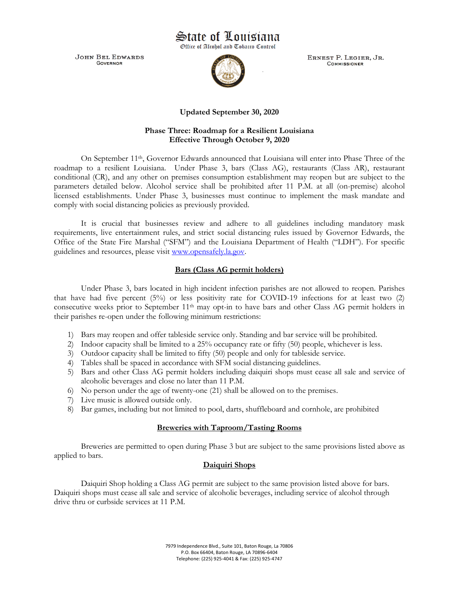**JOHN BEL EDWARDS** GOVERNOR



State of Louisiana

ERNEST P. LEGIER, JR. **COMMISSIONER** 

### **Updated September 30, 2020**

### **Phase Three: Roadmap for a Resilient Louisiana Effective Through October 9, 2020**

On September 11th, Governor Edwards announced that Louisiana will enter into Phase Three of the roadmap to a resilient Louisiana. Under Phase 3, bars (Class AG), restaurants (Class AR), restaurant conditional (CR), and any other on premises consumption establishment may reopen but are subject to the parameters detailed below. Alcohol service shall be prohibited after 11 P.M. at all (on-premise) alcohol licensed establishments. Under Phase 3, businesses must continue to implement the mask mandate and comply with social distancing policies as previously provided.

It is crucial that businesses review and adhere to all guidelines including mandatory mask requirements, live entertainment rules, and strict social distancing rules issued by Governor Edwards, the Office of the State Fire Marshal ("SFM") and the Louisiana Department of Health ("LDH"). For specific guidelines and resources, please visit [www.opensafely.la.gov.](http://www.opensafely.la.gov/)

## **Bars (Class AG permit holders)**

Under Phase 3, bars located in high incident infection parishes are not allowed to reopen. Parishes that have had five percent (5%) or less positivity rate for COVID-19 infections for at least two (2) consecutive weeks prior to September 11th may opt-in to have bars and other Class AG permit holders in their parishes re-open under the following minimum restrictions:

- 1) Bars may reopen and offer tableside service only. Standing and bar service will be prohibited.
- 2) Indoor capacity shall be limited to a 25% occupancy rate or fifty (50) people, whichever is less.
- 3) Outdoor capacity shall be limited to fifty (50) people and only for tableside service.
- 4) Tables shall be spaced in accordance with SFM social distancing guidelines.
- 5) Bars and other Class AG permit holders including daiquiri shops must cease all sale and service of alcoholic beverages and close no later than 11 P.M.
- 6) No person under the age of twenty-one (21) shall be allowed on to the premises.
- 7) Live music is allowed outside only.
- 8) Bar games, including but not limited to pool, darts, shuffleboard and cornhole, are prohibited

# **Breweries with Taproom/Tasting Rooms**

Breweries are permitted to open during Phase 3 but are subject to the same provisions listed above as applied to bars.

# **Daiquiri Shops**

Daiquiri Shop holding a Class AG permit are subject to the same provision listed above for bars. Daiquiri shops must cease all sale and service of alcoholic beverages, including service of alcohol through drive thru or curbside services at 11 P.M.